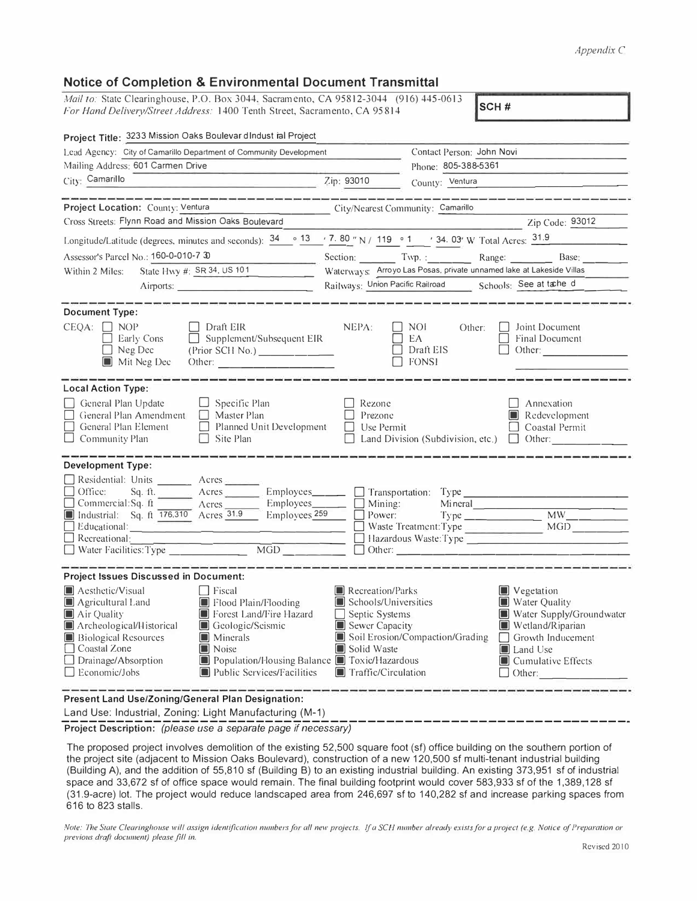## Appendix C

| <b>Notice of Completion &amp; Environmental Document Transmittal</b>                                                                                                                                                                                                                                                                                                                                                                                                                                                                                                                   |                                                                                                                         |                                                  |                                                                                                                                                         |  |  |  |
|----------------------------------------------------------------------------------------------------------------------------------------------------------------------------------------------------------------------------------------------------------------------------------------------------------------------------------------------------------------------------------------------------------------------------------------------------------------------------------------------------------------------------------------------------------------------------------------|-------------------------------------------------------------------------------------------------------------------------|--------------------------------------------------|---------------------------------------------------------------------------------------------------------------------------------------------------------|--|--|--|
| Mail to: State Clearinghouse, P.O. Box 3044, Sacramento, CA 95812-3044 (916) 445-0613<br>SCH#<br>For Hand Delivery/Street Address: 1400 Tenth Street, Sacramento, CA 95814                                                                                                                                                                                                                                                                                                                                                                                                             |                                                                                                                         |                                                  |                                                                                                                                                         |  |  |  |
| Project Title: 3233 Mission Oaks Boulevar dIndust ial Project                                                                                                                                                                                                                                                                                                                                                                                                                                                                                                                          |                                                                                                                         |                                                  |                                                                                                                                                         |  |  |  |
| Lead Agency: City of Camarillo Department of Community Development                                                                                                                                                                                                                                                                                                                                                                                                                                                                                                                     |                                                                                                                         |                                                  | Contact Person: John Novi                                                                                                                               |  |  |  |
| Mailing Address: 601 Carmen Drive                                                                                                                                                                                                                                                                                                                                                                                                                                                                                                                                                      |                                                                                                                         | Phone: 805-388-5361                              |                                                                                                                                                         |  |  |  |
| City: Camarillo                                                                                                                                                                                                                                                                                                                                                                                                                                                                                                                                                                        | Zip: 93010                                                                                                              | County: Ventura                                  |                                                                                                                                                         |  |  |  |
| Project Location: County: Ventura                                                                                                                                                                                                                                                                                                                                                                                                                                                                                                                                                      | City/Nearest Community: Camarillo                                                                                       |                                                  |                                                                                                                                                         |  |  |  |
| Cross Streets: Flynn Road and Mission Oaks Boulevard                                                                                                                                                                                                                                                                                                                                                                                                                                                                                                                                   |                                                                                                                         |                                                  | Zip Code: 93012                                                                                                                                         |  |  |  |
| Longitude/Latitude (degrees, minutes and seconds): 34                                                                                                                                                                                                                                                                                                                                                                                                                                                                                                                                  | • 13 · 7. 80 " N / 119 · 1 · 34. 03' W Total Acres: 31.9                                                                |                                                  |                                                                                                                                                         |  |  |  |
| Assessor's Parcel No.: 160-0-010-7 30                                                                                                                                                                                                                                                                                                                                                                                                                                                                                                                                                  | Section: Twp.: Range: Base:                                                                                             |                                                  |                                                                                                                                                         |  |  |  |
| State Hwy #: SR 34, US 101<br>Within 2 Miles:                                                                                                                                                                                                                                                                                                                                                                                                                                                                                                                                          | Waterways: Arroyo Las Posas, private unnamed lake at Lakeside Villas                                                    |                                                  |                                                                                                                                                         |  |  |  |
| Airports:                                                                                                                                                                                                                                                                                                                                                                                                                                                                                                                                                                              |                                                                                                                         |                                                  | Railways: Union Pacific Railroad Schools: See at tache d                                                                                                |  |  |  |
| <b>Document Type:</b><br>$CEQA: \Box NOP$<br>Draft EIR<br>$\Box$ Supplement/Subsequent EIR<br>Early Cons<br>$\Box$ Neg Dec<br>(Prior SCH No.) _________<br>Mit Neg Dec<br>Other: $\frac{1}{\sqrt{1-\frac{1}{2}}\sqrt{1-\frac{1}{2}}\sqrt{1-\frac{1}{2}}\sqrt{1-\frac{1}{2}}\sqrt{1-\frac{1}{2}}\sqrt{1-\frac{1}{2}}\sqrt{1-\frac{1}{2}}\sqrt{1-\frac{1}{2}}\sqrt{1-\frac{1}{2}}\sqrt{1-\frac{1}{2}}\sqrt{1-\frac{1}{2}}\sqrt{1-\frac{1}{2}}\sqrt{1-\frac{1}{2}}\sqrt{1-\frac{1}{2}}\sqrt{1-\frac{1}{2}}\sqrt{1-\frac{1}{2}}\sqrt{1-\frac{1}{2}}\sqrt{1-\frac{1}{2}}\sqrt{1-\frac{1}{2$ | NEPA:                                                                                                                   | NOI<br>Other:<br>EA<br>Draft EIS<br><b>FONSI</b> | Joint Document<br>Final Document<br>Other:                                                                                                              |  |  |  |
| <b>Local Action Type:</b><br>General Plan Update<br>$\Box$ Specific Plan<br>General Plan Amendment<br>    Master Plan<br>Planned Unit Development<br>General Plan Element<br>$\Box$ Community Plan<br>$\Box$ Site Plan                                                                                                                                                                                                                                                                                                                                                                 | Rezone<br>Prezone<br>Use Permit                                                                                         |                                                  | Annexation<br>$\blacksquare$ Redevelopment<br>Coastal Permit<br>Land Division (Subdivision, etc.) $\Box$ Other:                                         |  |  |  |
| <b>Development Type:</b><br>Residential: Units _______ Acres<br>$\Box$ Office:<br>Sq. ft.<br>Acres<br>$Employes$ <sub>_______</sub><br>Employees_<br>$\Box$ Commercial: Sq. ft<br>$A$ cres<br>Industrial: Sq. ft 176,310 Acres 31.9<br>Employees <sub>259</sub><br>$\Box$ Recreational:<br>$\overline{MGD}$<br>Water Facilities: Type                                                                                                                                                                                                                                                  | Mining:<br>Power:                                                                                                       | $\Box$ Transportation: Type                      | Mineral<br>MW<br>Hazardous Waste:Type<br>Other: 2008.000 Permitted by Delta Property 2008.000 Permitted by Delta Property 2008.000 Permitted by Delta P |  |  |  |
| <b>Project Issues Discussed in Document:</b><br>Aesthetic/Visual<br>Fiscal<br>Flood Plain/Flooding<br>$\Box$ Agricultural Land<br>Air Quality<br>Forest Land/Fire Hazard<br>Archeological/Historical<br>Geologic/Seismic<br>IJ<br><b>Biological Resources</b><br>$\blacksquare$ Minerals<br>$\Box$ Coastal Zone<br>Noise<br>IJ<br>Population/Housing Balance Toxic/Hazardous<br>$\Box$ Drainage/Absorption<br>$\Box$ Economic/Jobs<br>Public Services/Facilities                                                                                                                       | Recreation/Parks<br>Schools/Universities<br>Septic Systems<br>Sewer Capacity<br>Solid Waste<br>Traffic/Circulation<br>L | Soil Erosion/Compaction/Grading                  | Vegetation<br>Water Quality<br>Water Supply/Groundwater<br>Wetland/Riparian<br>Growth Inducement<br>Land Use<br>IOI<br>Cumulative Effects<br>Other:     |  |  |  |

Present Land Use/Zoning/General Plan Designation:

Land Use: Industrial, Zoning: Light Manufacturing (M-1)

Project Description: (please use a separate page if necessary)

The proposed project involves demolition of the existing 52,500 square foot (sf) office building on the southern portion of the project site (adjacent to Mission Oaks Boulevard), construction of a new 120,500 sf multi-tenant industrial building (Building A), and the addition of 55,810 sf (Building B) to an existing industrial building. An existing 373,951 sf of industrial space and 33,672 sf of office space would remain. The final building footprint would cover 583,933 sf of the 1,389,128 sf (31.9-acre) lot. The project would reduce landscaped area from 246,697 sf to 140,282 sf and increase parking spaces from 616 to 823 stalls.

Note: The State Clearinghouse will assign identification numbers for all new projects. If a SCH number already exists for a project (e.g. Notice of Preparation or previous draft document) please fill in.